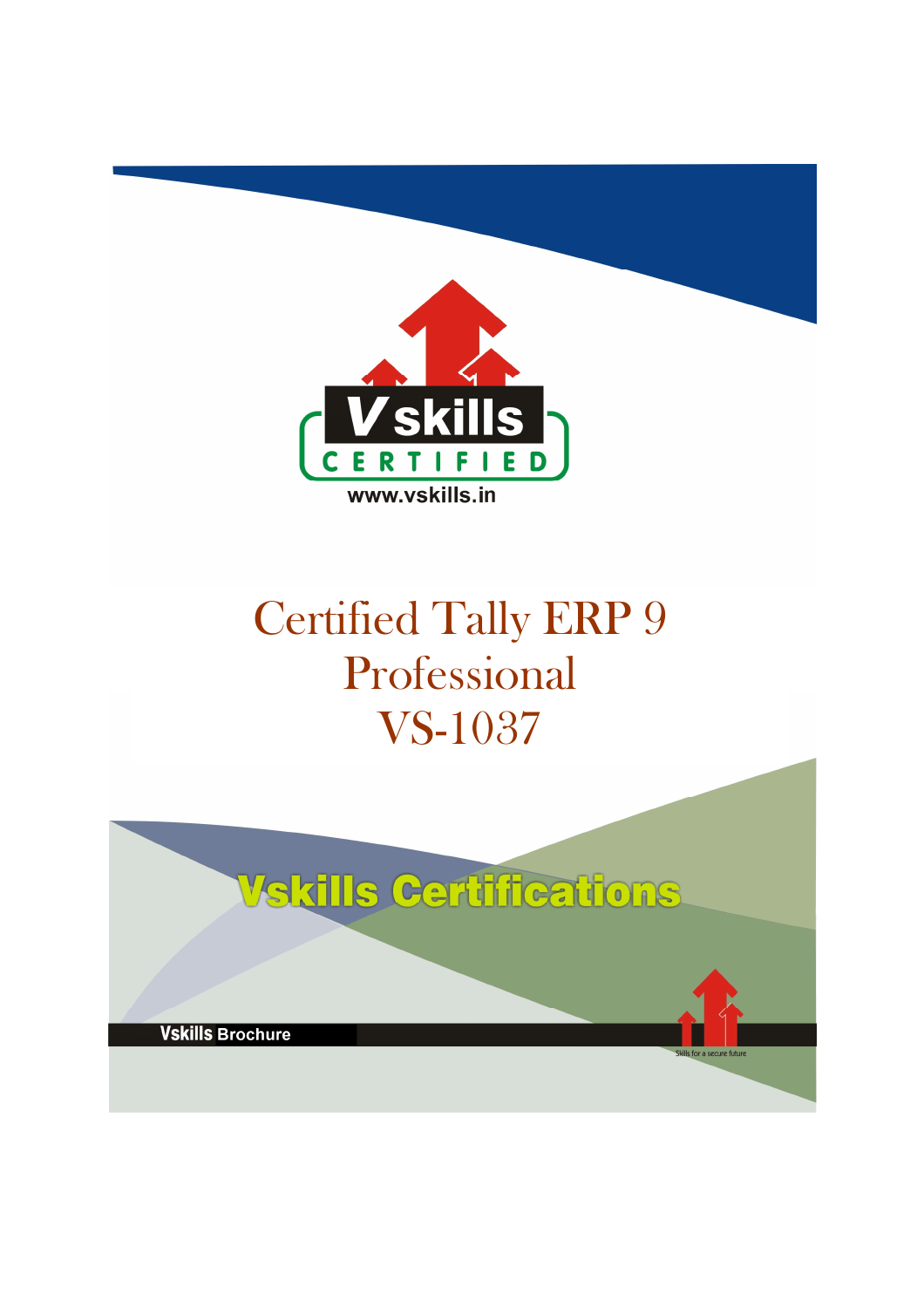

# Certified Tally ERP 9 Professional VS-1037

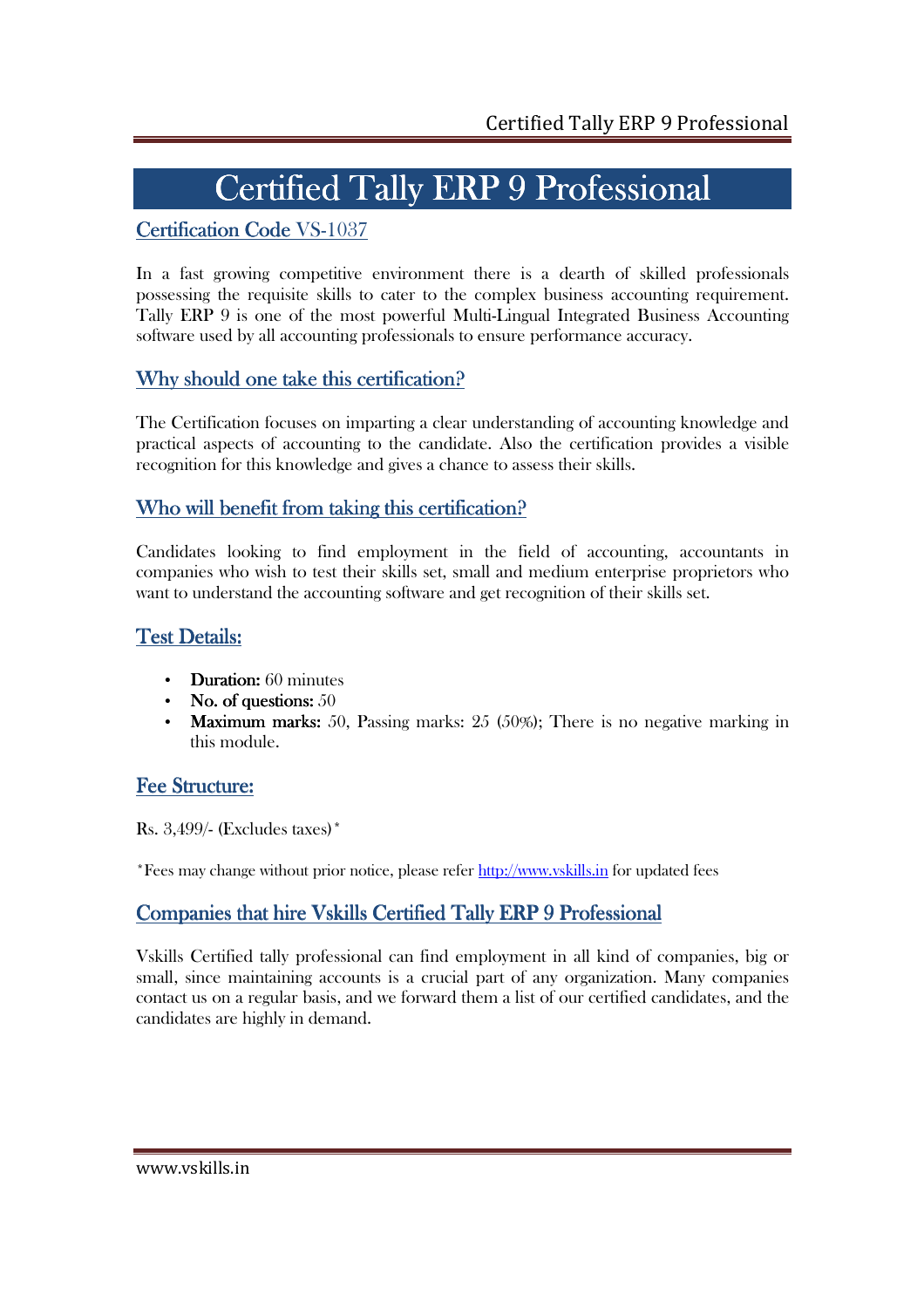# Certified Tally ERP 9 Professional

## Certification Code VS-1037

In a fast growing competitive environment there is a dearth of skilled professionals possessing the requisite skills to cater to the complex business accounting requirement. Tally ERP 9 is one of the most powerful Multi-Lingual Integrated Business Accounting software used by all accounting professionals to ensure performance accuracy.

## Why should one take this certification?

The Certification focuses on imparting a clear understanding of accounting knowledge and practical aspects of accounting to the candidate. Also the certification provides a visible recognition for this knowledge and gives a chance to assess their skills.

## Who will benefit from taking this certification?

Candidates looking to find employment in the field of accounting, accountants in companies who wish to test their skills set, small and medium enterprise proprietors who want to understand the accounting software and get recognition of their skills set.

## Test Details:

- Duration:  $60$  minutes
- **No. of questions:**  $50$
- **Maximum marks:** 50, Passing marks:  $25$  (50%); There is no negative marking in this module.

## Fee Structure:

Rs. 3,499/- (Excludes taxes)\*

\*Fees may change without prior notice, please refer http://www.vskills.in for updated fees

## Companies that hire Vskills Certified Tally ERP 9 Professional

Vskills Certified tally professional can find employment in all kind of companies, big or small, since maintaining accounts is a crucial part of any organization. Many companies contact us on a regular basis, and we forward them a list of our certified candidates, and the candidates are highly in demand.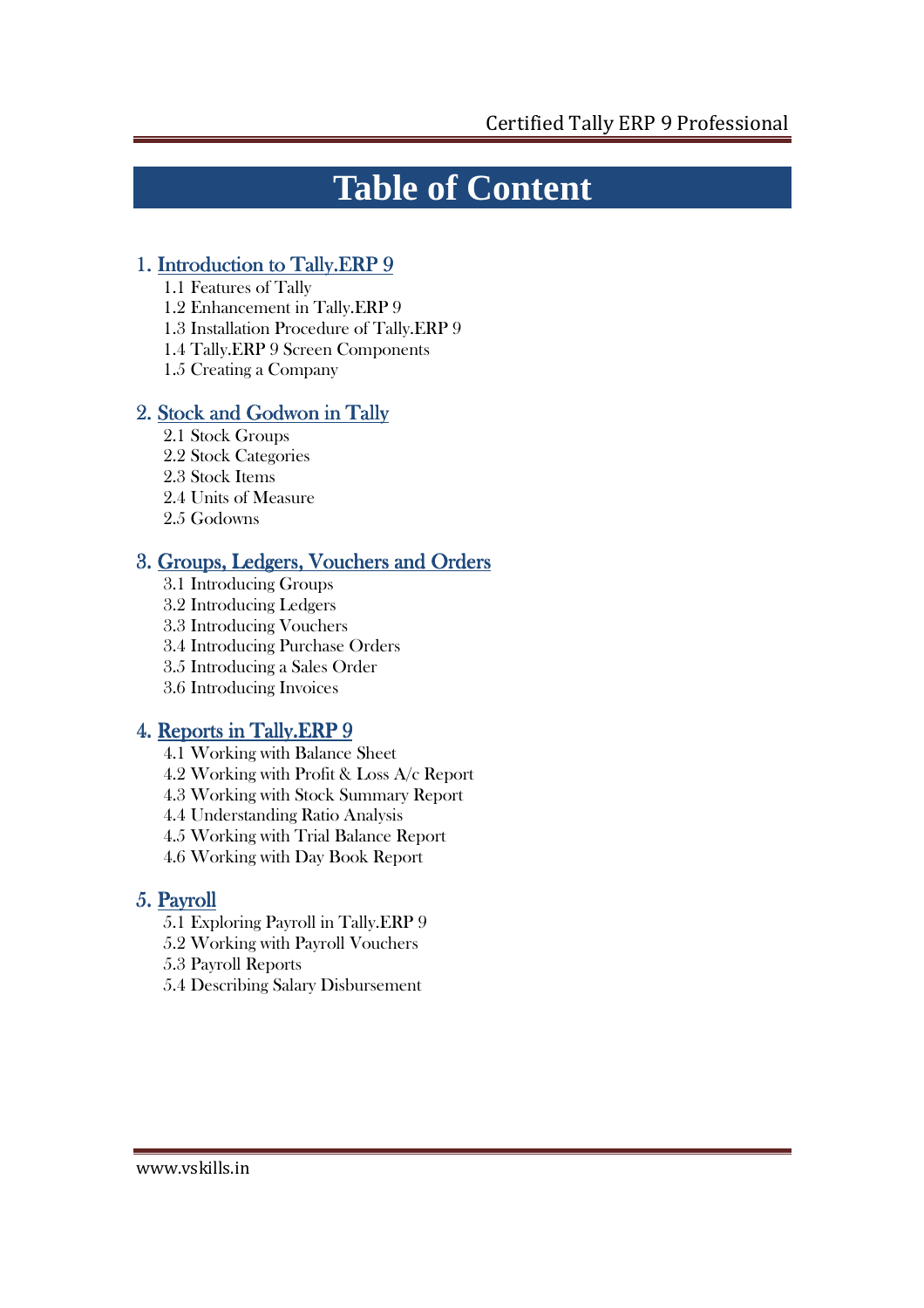# **Table of Content**

## 1. Introduction to Tally.ERP 9

- 1.1 Features of Tally
- 1.2 Enhancement in Tally.ERP 9
- 1.3 Installation Procedure of Tally.ERP 9
- 1.4 Tally.ERP 9 Screen Components
- 1.5 Creating a Company

## 2. Stock and Godwon in Tally

- 2.1 Stock Groups
- 2.2 Stock Categories
- 2.3 Stock Items
- 2.4 Units of Measure
- 2.5 Godowns

## 3. Groups, Ledgers, Vouchers and Orders

- 3.1 Introducing Groups
- 3.2 Introducing Ledgers
- 3.3 Introducing Vouchers
- 3.4 Introducing Purchase Orders
- 3.5 Introducing a Sales Order
- 3.6 Introducing Invoices

## 4. Reports in Tally.ERP 9

- 4.1 Working with Balance Sheet
- 4.2 Working with Profit & Loss A/c Report
- 4.3 Working with Stock Summary Report
- 4.4 Understanding Ratio Analysis
- 4.5 Working with Trial Balance Report
- 4.6 Working with Day Book Report

## 5. Payroll

- 5.1 Exploring Payroll in Tally.ERP 9
- 5.2 Working with Payroll Vouchers
- 5.3 Payroll Reports
- 5.4 Describing Salary Disbursement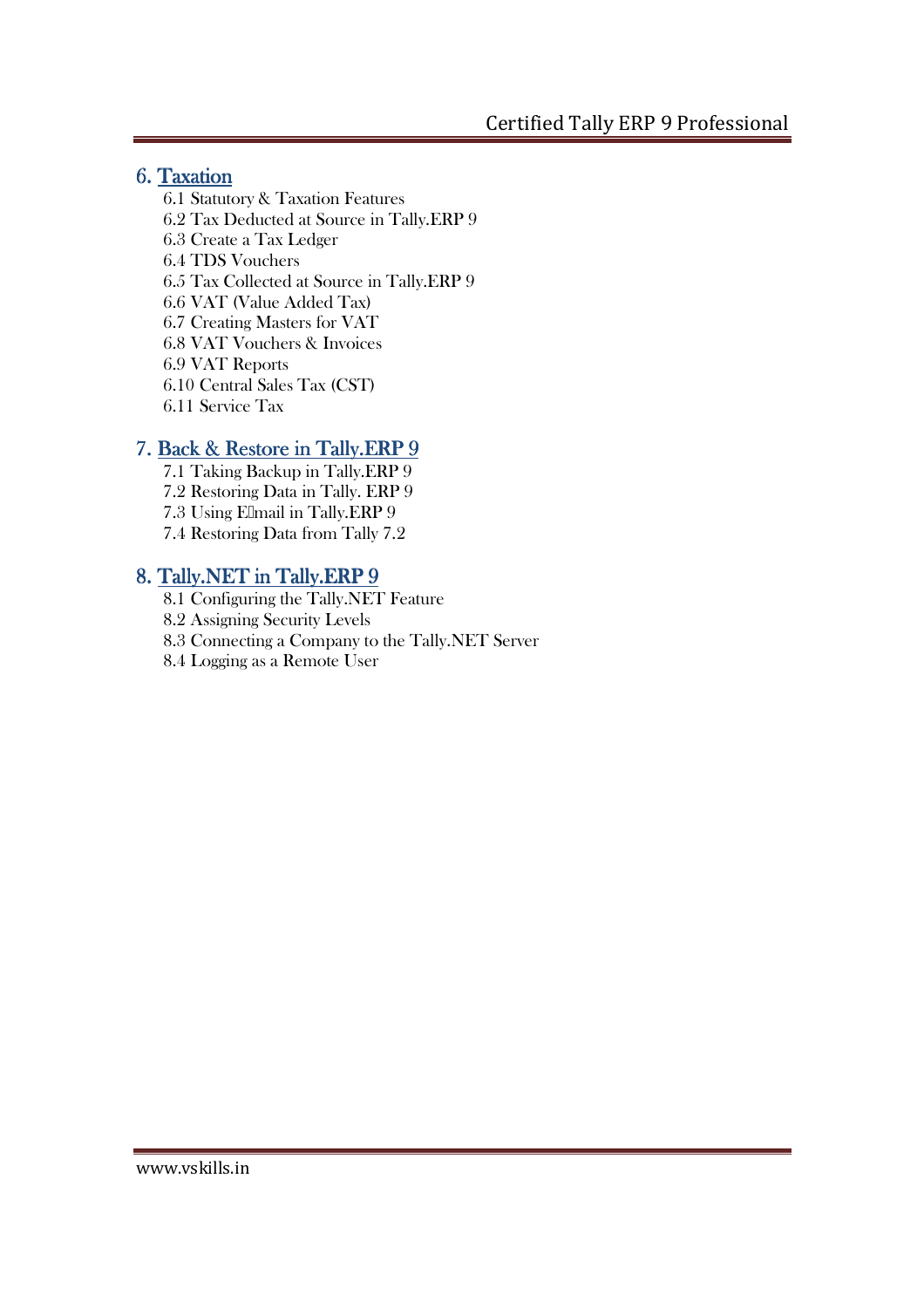## 6. Taxation

6.1 Statutory & Taxation Features 6.2 Tax Deducted at Source in Tally.ERP 9 6.3 Create a Tax Ledger 6.4 TDS Vouchers 6.5 Tax Collected at Source in Tally.ERP 9 6.6 VAT (Value Added Tax) 6.7 Creating Masters for VAT 6.8 VAT Vouchers & Invoices 6.9 VAT Reports 6.10 Central Sales Tax (CST) 6.11 Service Tax

## 7. Back & Restore in Tally.ERP 9

7.1 Taking Backup in Tally.ERP 9 7.2 Restoring Data in Tally. ERP 9 7.3 Using Elmail in Tally.ERP 9 7.4 Restoring Data from Tally 7.2

## 8. Tally.NET in Tally.ERP 9

- 8.1 Configuring the Tally.NET Feature
- 8.2 Assigning Security Levels
- 8.3 Connecting a Company to the Tally.NET Server
- 8.4 Logging as a Remote User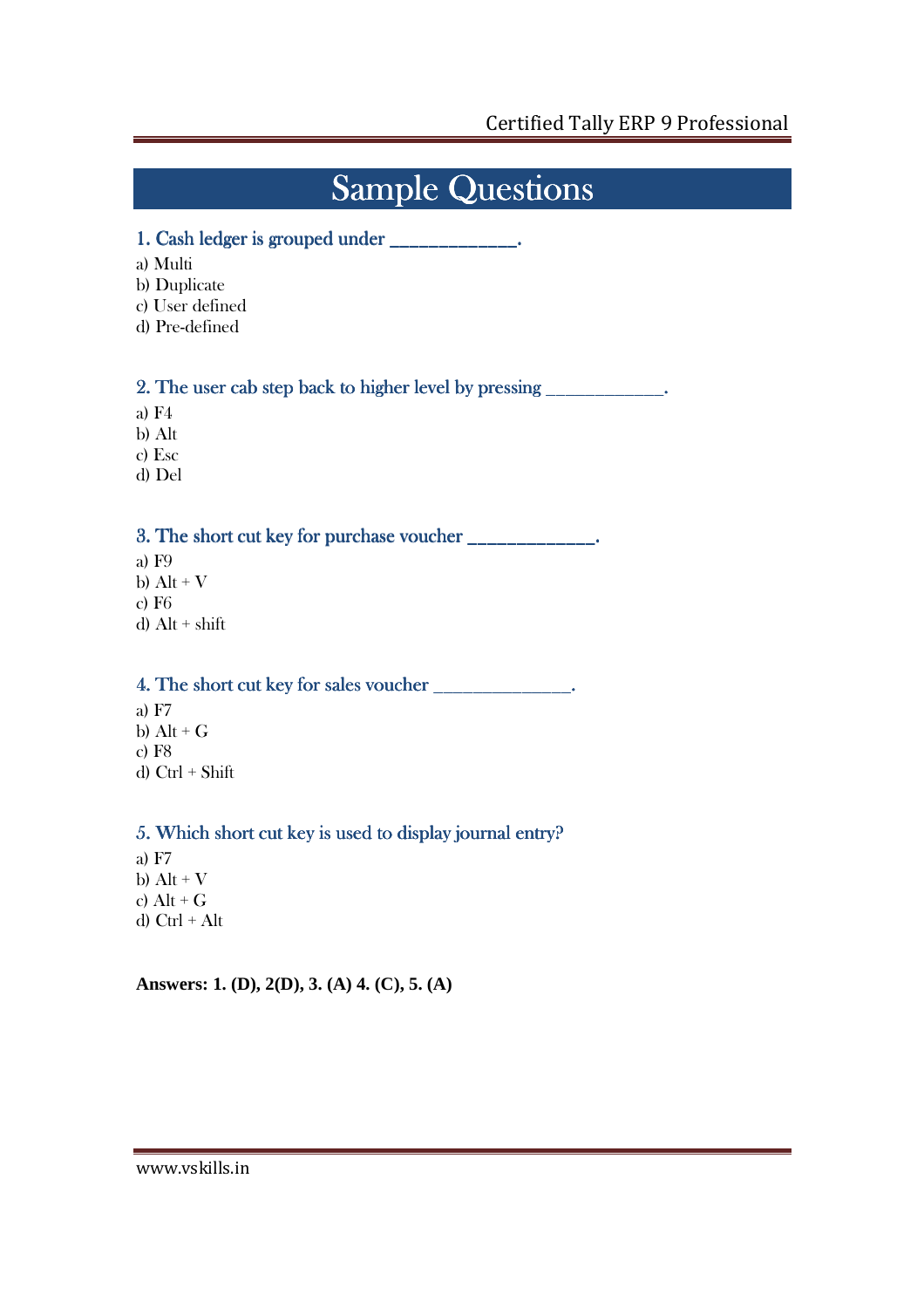## **Sample Questions**

## 1. Cash ledger is grouped under  $\frac{1}{\sqrt{1-\frac{1}{n}}}$

- a) Multi
- b) Duplicate
- c) User defined
- d) Pre-defined

2. The user cab step back to higher level by pressing \_\_\_\_\_\_\_\_\_\_\_\_.

- a) F4
- b) Alt
- c) Esc
- d) Del

## 3. The short cut key for purchase voucher \_\_\_\_\_\_\_\_\_\_\_\_\_.

- a) F9 b)  $Alt + V$ c) F6
- d)  $Alt + shift$

## 4. The short cut key for sales voucher short voucher\_\_\_\_\_\_\_\_\_\_\_\_\_\_. \_\_\_\_\_\_\_\_\_\_\_\_\_\_.\_\_\_\_\_\_\_\_\_\_\_\_\_\_.

a) F7 b)  $Alt + G$ c) F8 d) Ctrl + Shift

## 5. Which short cut key is used to display journal entry?

a) F7 b)  $Alt + V$ c)  $Alt + G$ d) Ctrl + Alt

**Answers: 1. (D), 2(D), 3. (A) 4. (C), 5. (A)**